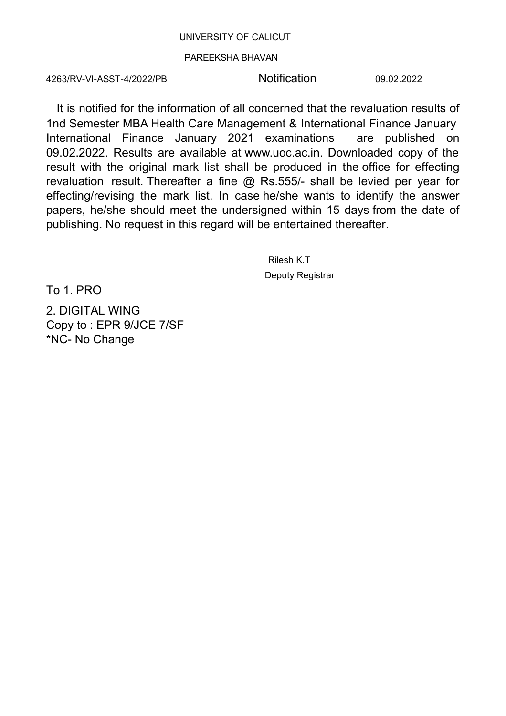## UNIVERSITY OF CALICUT

## PAREEKSHA BHAVAN

4263/RV-VI-ASST-4/2022/PB

Notification

09.02.2022

It is notified for the information of all concerned that the revaluation results of 1nd Semester MBA Health Care Management & International Finance January International Finance January 2021 examinations are published on 09.02.2022. Results are available at www.uoc.ac.in. Downloaded copy of the result with the original mark list shall be produced in the office for effecting revaluation result. Thereafter a fine  $@$  Rs.555/- shall be levied per year for effecting/revising the mark list. In case he/she wants to identify the answer papers, he/she should meet the undersigned within 15 days from the date of publishing. No request in this regard will be entertained thereafter.

> Rilesh K.T Deputy Registrar

To 1. PRO

2. DIGITAL WING Copy to: EPR 9/JCE 7/SF \*NC- No Change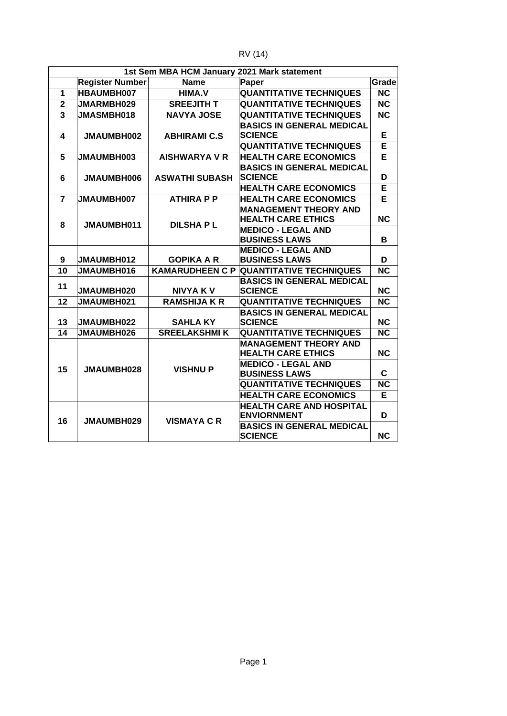| R<br>יי<br>J<br>I | Δ |
|-------------------|---|
|-------------------|---|

| 2021 Mark statement<br><b>1st Sem MBA HCM January</b> |                        |                       |                                                              |           |
|-------------------------------------------------------|------------------------|-----------------------|--------------------------------------------------------------|-----------|
|                                                       | <b>Register Number</b> | <b>Name</b>           | Paper                                                        | Grade     |
| $\mathbf{1}$                                          | HBAUMBH007             | HIMA.V                | <b>QUANTITATIVE TECHNIQUES</b>                               | <b>NC</b> |
| $\overline{2}$                                        | JMARMBH029             | <b>SREEJITH T</b>     | <b>QUANTITATIVE TECHNIQUES</b>                               | <b>NC</b> |
| 3                                                     | JMASMBH018             | <b>NAVYA JOSE</b>     | <b>QUANTITATIVE TECHNIQUES</b>                               | <b>NC</b> |
| 4                                                     | JMAUMBH002             | <b>ABHIRAMI C.S</b>   | <b>BASICS IN GENERAL MEDICAL</b><br><b>SCIENCE</b>           | Е         |
|                                                       |                        |                       | <b>QUANTITATIVE TECHNIQUES</b>                               | F         |
| 5                                                     | JMAUMBH003             | <b>AISHWARYA V R</b>  | <b>HEALTH CARE ECONOMICS</b>                                 | Е         |
| 6                                                     | <b>JMAUMBH006</b>      | <b>ASWATHI SUBASH</b> | <b>BASICS IN GENERAL MEDICAL</b><br><b>SCIENCE</b>           | D<br>Е    |
| $\overline{7}$                                        |                        |                       | <b>HEALTH CARE ECONOMICS</b>                                 |           |
|                                                       | JMAUMBH007             | <b>ATHIRA P P</b>     | <b>HEALTH CARE ECONOMICS</b><br><b>MANAGEMENT THEORY AND</b> | Е         |
| 8                                                     | JMAUMBH011             | <b>DILSHAPL</b>       | <b>HEALTH CARE ETHICS</b>                                    | <b>NC</b> |
|                                                       |                        |                       | <b>MEDICO - LEGAL AND</b><br><b>BUSINESS LAWS</b>            | B         |
| 9                                                     | JMAUMBH012             | <b>GOPIKA A R</b>     | <b>MEDICO - LEGAL AND</b><br><b>BUSINESS LAWS</b>            | D         |
| 10                                                    | JMAUMBH016             |                       | <b>KAMARUDHEEN C P QUANTITATIVE TECHNIQUES</b>               | <b>NC</b> |
| 11                                                    | JMAUMBH020             | <b>NIVYA KV</b>       | <b>BASICS IN GENERAL MEDICAL</b><br><b>SCIENCE</b>           | <b>NC</b> |
| 12                                                    | JMAUMBH021             | <b>RAMSHIJA K R</b>   | <b>QUANTITATIVE TECHNIQUES</b>                               | <b>NC</b> |
| 13                                                    | JMAUMBH022             | <b>SAHLA KY</b>       | <b>BASICS IN GENERAL MEDICAL</b><br><b>SCIENCE</b>           | <b>NC</b> |
| 14                                                    | JMAUMBH026             | <b>SREELAKSHMIK</b>   | <b>QUANTITATIVE TECHNIQUES</b>                               | <b>NC</b> |
|                                                       | JMAUMBH028             | <b>VISHNUP</b>        | <b>MANAGEMENT THEORY AND</b><br><b>HEALTH CARE ETHICS</b>    | <b>NC</b> |
| 15                                                    |                        |                       | <b>MEDICO - LEGAL AND</b><br><b>BUSINESS LAWS</b>            | C         |
|                                                       |                        |                       | <b>QUANTITATIVE TECHNIQUES</b>                               | <b>NC</b> |
|                                                       |                        |                       | <b>HEALTH CARE ECONOMICS</b>                                 | E         |
| 16                                                    | JMAUMBH029             | <b>VISMAYA C R</b>    | <b>HEALTH CARE AND HOSPITAL</b><br><b>ENVIORNMENT</b>        | D         |
|                                                       |                        |                       | <b>BASICS IN GENERAL MEDICAL</b><br><b>SCIENCE</b>           | <b>NC</b> |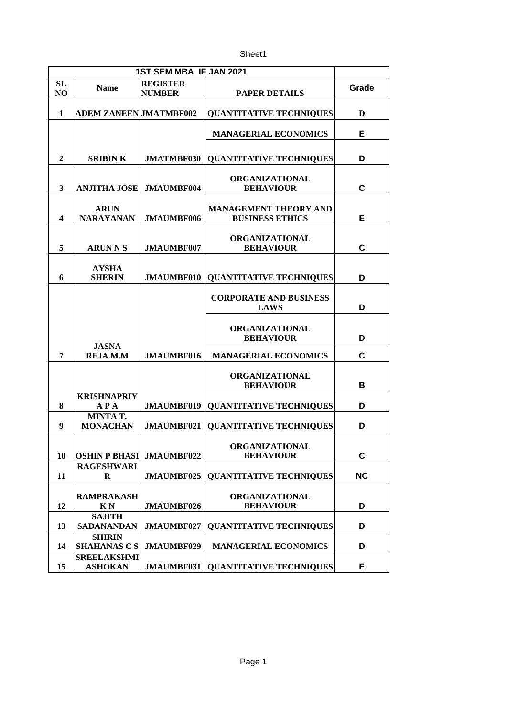Sheet1

| 1ST SEM MBA IF JAN 2021 |                                      |                                  |                                                        |           |
|-------------------------|--------------------------------------|----------------------------------|--------------------------------------------------------|-----------|
| <b>SL</b><br>NO         | Name                                 | <b>REGISTER</b><br><b>NUMBER</b> | <b>PAPER DETAILS</b>                                   | Grade     |
| 1                       | <b>ADEM ZANEEN JMATMBF002</b>        |                                  | <b>QUANTITATIVE TECHNIQUES</b>                         | D         |
|                         |                                      |                                  | <b>MANAGERIAL ECONOMICS</b>                            | Е         |
| $\overline{2}$          | <b>SRIBINK</b>                       | JMATMBF030                       | <b>QUANTITATIVE TECHNIQUES</b>                         | D         |
| 3                       | <b>ANJITHA JOSE</b>                  | JMAUMBF004                       | <b>ORGANIZATIONAL</b><br><b>BEHAVIOUR</b>              | C         |
| 4                       | <b>ARUN</b><br><b>NARAYANAN</b>      | JMAUMBF006                       | <b>MANAGEMENT THEORY AND</b><br><b>BUSINESS ETHICS</b> | Е         |
| 5                       | <b>ARUN N S</b>                      | JMAUMBF007                       | <b>ORGANIZATIONAL</b><br><b>BEHAVIOUR</b>              | C         |
| 6                       | <b>AYSHA</b><br><b>SHERIN</b>        | JMAUMBF010                       | <b>QUANTITATIVE TECHNIQUES</b>                         | D         |
|                         |                                      |                                  | <b>CORPORATE AND BUSINESS</b><br><b>LAWS</b>           | D         |
|                         |                                      |                                  | <b>ORGANIZATIONAL</b><br><b>BEHAVIOUR</b>              | D         |
| 7                       | <b>JASNA</b><br><b>REJA.M.M</b>      | <b>JMAUMBF016</b>                | <b>MANAGERIAL ECONOMICS</b>                            | C         |
|                         |                                      |                                  | <b>ORGANIZATIONAL</b><br><b>BEHAVIOUR</b>              | B         |
| 8                       | <b>KRISHNAPRIY</b><br><b>APA</b>     | JMAUMBF019                       | <b>QUANTITATIVE TECHNIQUES</b>                         | D         |
| 9                       | MINTA T.<br><b>MONACHAN</b>          | JMAUMBF021                       | <b>QUANTITATIVE TECHNIQUES</b>                         | D         |
| 10                      | <b>OSHIN P BHASI</b>                 | JMAUMBF022                       | ORGANIZATIONAL<br><b>BEHAVIOUR</b>                     | С         |
| 11                      | <b>RAGESHWARI</b><br>R               | JMAUMBF025                       | <b>QUANTITATIVE TECHNIQUES</b>                         | <b>NC</b> |
| 12                      | <b>RAMPRAKASH</b><br>K N             | JMAUMBF026                       | <b>ORGANIZATIONAL</b><br><b>BEHAVIOUR</b>              | D         |
| 13                      | <b>SAJITH</b><br><b>SADANANDAN</b>   | JMAUMBF027                       | <b>QUANTITATIVE TECHNIQUES</b>                         | D         |
| 14                      | <b>SHIRIN</b><br><b>SHAHANAS C S</b> | JMAUMBF029                       | <b>MANAGERIAL ECONOMICS</b>                            | D         |
| 15                      | <b>SREELAKSHMI</b><br><b>ASHOKAN</b> | JMAUMBF031                       | <b>QUANTITATIVE TECHNIQUES</b>                         | Е         |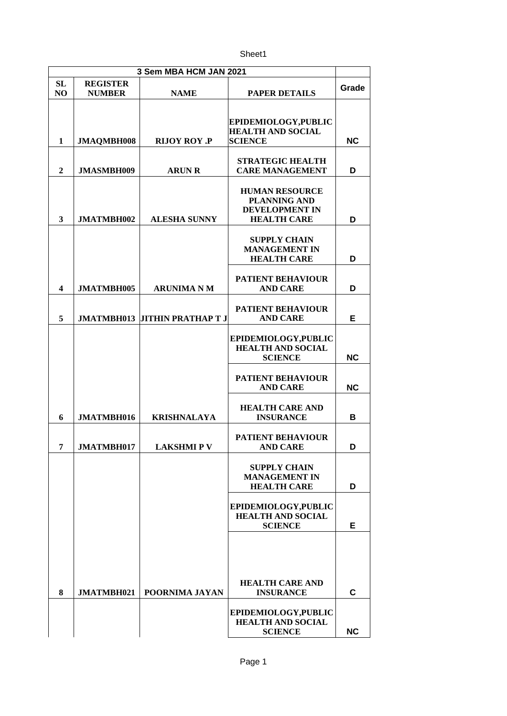Sheet1

| 3 Sem MBA HCM JAN 2021 |                 |                                      |                                                                                             |           |
|------------------------|-----------------|--------------------------------------|---------------------------------------------------------------------------------------------|-----------|
| SL                     | <b>REGISTER</b> |                                      |                                                                                             | Grade     |
| NO                     | <b>NUMBER</b>   | <b>NAME</b>                          | <b>PAPER DETAILS</b>                                                                        |           |
| $\mathbf{1}$           | JMAQMBH008      | <b>RIJOY ROY .P</b>                  | EPIDEMIOLOGY, PUBLIC<br><b>HEALTH AND SOCIAL</b><br><b>SCIENCE</b>                          | <b>NC</b> |
| $\overline{2}$         | JMASMBH009      | <b>ARUN R</b>                        | <b>STRATEGIC HEALTH</b><br><b>CARE MANAGEMENT</b>                                           | D         |
| 3                      | JMATMBH002      | <b>ALESHA SUNNY</b>                  | <b>HUMAN RESOURCE</b><br><b>PLANNING AND</b><br><b>DEVELOPMENT IN</b><br><b>HEALTH CARE</b> | D         |
|                        |                 |                                      | <b>SUPPLY CHAIN</b><br><b>MANAGEMENT IN</b><br><b>HEALTH CARE</b>                           | D         |
| 4                      | JMATMBH005      | <b>ARUNIMA N M</b>                   | <b>PATIENT BEHAVIOUR</b><br><b>AND CARE</b>                                                 | D         |
| 5                      |                 | <b>JMATMBH013 JITHIN PRATHAP T J</b> | <b>PATIENT BEHAVIOUR</b><br><b>AND CARE</b>                                                 | Е         |
|                        |                 |                                      | EPIDEMIOLOGY, PUBLIC<br><b>HEALTH AND SOCIAL</b><br><b>SCIENCE</b>                          | <b>NC</b> |
|                        |                 |                                      | PATIENT BEHAVIOUR<br><b>AND CARE</b>                                                        | <b>NC</b> |
| 6                      | JMATMBH016      | <b>KRISHNALAYA</b>                   | <b>HEALTH CARE AND</b><br><b>INSURANCE</b>                                                  | в         |
| 7                      | JMATMBH017      | <b>LAKSHMIPV</b>                     | <b>PATIENT BEHAVIOUR</b><br><b>AND CARE</b>                                                 | D         |
|                        |                 |                                      | <b>SUPPLY CHAIN</b><br><b>MANAGEMENT IN</b><br><b>HEALTH CARE</b>                           | D         |
|                        |                 |                                      | EPIDEMIOLOGY, PUBLIC<br><b>HEALTH AND SOCIAL</b><br><b>SCIENCE</b>                          | Е         |
|                        |                 |                                      | <b>HEALTH CARE AND</b>                                                                      |           |
| 8                      | JMATMBH021      | POORNIMA JAYAN                       | <b>INSURANCE</b>                                                                            | С         |
|                        |                 |                                      | EPIDEMIOLOGY, PUBLIC<br><b>HEALTH AND SOCIAL</b><br><b>SCIENCE</b>                          | <b>NC</b> |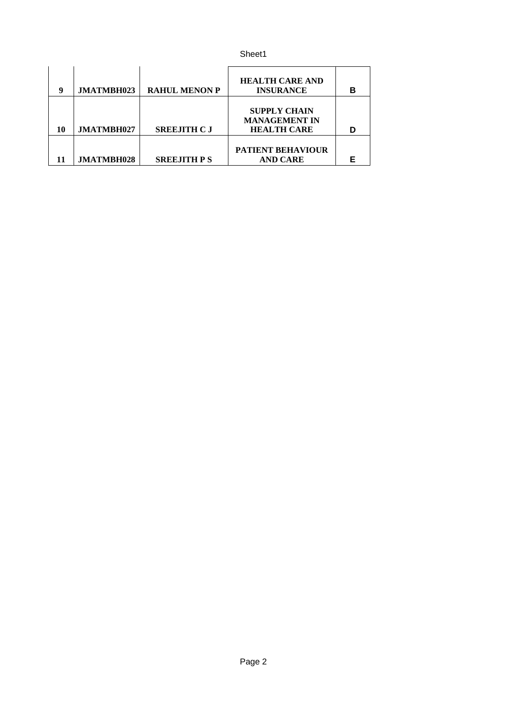| 9  | JMATMBH023 | <b>RAHUL MENON P</b> | <b>HEALTH CARE AND</b><br><b>INSURANCE</b>                        | в |
|----|------------|----------------------|-------------------------------------------------------------------|---|
| 10 | JMATMBH027 | <b>SREEJITH C J</b>  | <b>SUPPLY CHAIN</b><br><b>MANAGEMENT IN</b><br><b>HEALTH CARE</b> |   |
|    | JMATMBH028 | <b>SREEJITH P S</b>  | <b>PATIENT BEHAVIOUR</b><br><b>AND CARE</b>                       |   |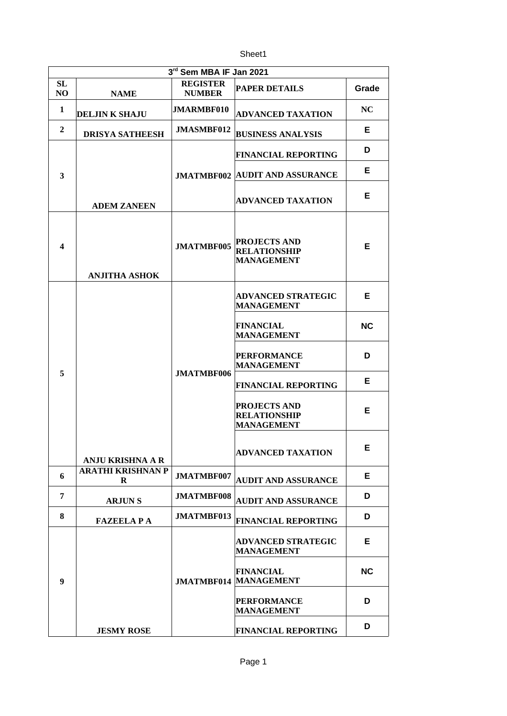Sheet1

| 3rd Sem MBA IF Jan 2021 |                               |                                  |                                                                 |           |  |
|-------------------------|-------------------------------|----------------------------------|-----------------------------------------------------------------|-----------|--|
| SL.<br>NO               | <b>NAME</b>                   | <b>REGISTER</b><br><b>NUMBER</b> | <b>PAPER DETAILS</b>                                            | Grade     |  |
| 1                       | <b>DELJINK SHAJU</b>          | <b>JMARMBF010</b>                | <b>ADVANCED TAXATION</b>                                        | NC        |  |
| $\overline{2}$          | <b>DRISYA SATHEESH</b>        | JMASMBF012                       | <b>BUSINESS ANALYSIS</b>                                        | E.        |  |
|                         |                               |                                  | <b>FINANCIAL REPORTING</b>                                      | D         |  |
| 3                       |                               |                                  | <b>JMATMBF002 AUDIT AND ASSURANCE</b>                           | E.        |  |
|                         | <b>ADEM ZANEEN</b>            |                                  | <b>ADVANCED TAXATION</b>                                        | Е         |  |
| 4                       | <b>ANJITHA ASHOK</b>          | JMATMBF005                       | <b>PROJECTS AND</b><br><b>RELATIONSHIP</b><br><b>MANAGEMENT</b> | Е         |  |
|                         |                               |                                  | <b>ADVANCED STRATEGIC</b><br><b>MANAGEMENT</b>                  | E.        |  |
|                         |                               |                                  | FINANCIAL<br><b>MANAGEMENT</b>                                  | <b>NC</b> |  |
| 5                       |                               |                                  | PERFORMANCE<br><b>MANAGEMENT</b>                                | D         |  |
|                         |                               | JMATMBF006                       | <b>FINANCIAL REPORTING</b>                                      | Е         |  |
|                         |                               |                                  | <b>PROJECTS AND</b><br><b>RELATIONSHIP</b><br><b>MANAGEMENT</b> | Е         |  |
|                         | <b>ANJU KRISHNA A R</b>       |                                  | <b>ADVANCED TAXATION</b>                                        | E.        |  |
| 6                       | <b>ARATHI KRISHNAN P</b><br>R | JMATMBF007                       | <b>AUDIT AND ASSURANCE</b>                                      | Е         |  |
| 7                       | <b>ARJUNS</b>                 | JMATMBF008                       | AUDIT AND ASSURANCE                                             | D         |  |
| 8                       | <b>FAZEELAPA</b>              | JMATMBF013                       | <b>FINANCIAL REPORTING</b>                                      | D         |  |
| 9                       |                               |                                  | <b>ADVANCED STRATEGIC</b><br><b>MANAGEMENT</b>                  | Е         |  |
|                         |                               |                                  | FINANCIAL<br><b>JMATMBF014 MANAGEMENT</b>                       | <b>NC</b> |  |
|                         |                               |                                  | <b>PERFORMANCE</b><br><b>MANAGEMENT</b>                         | D         |  |
|                         | <b>JESMY ROSE</b>             |                                  | <b>FINANCIAL REPORTING</b>                                      | D         |  |